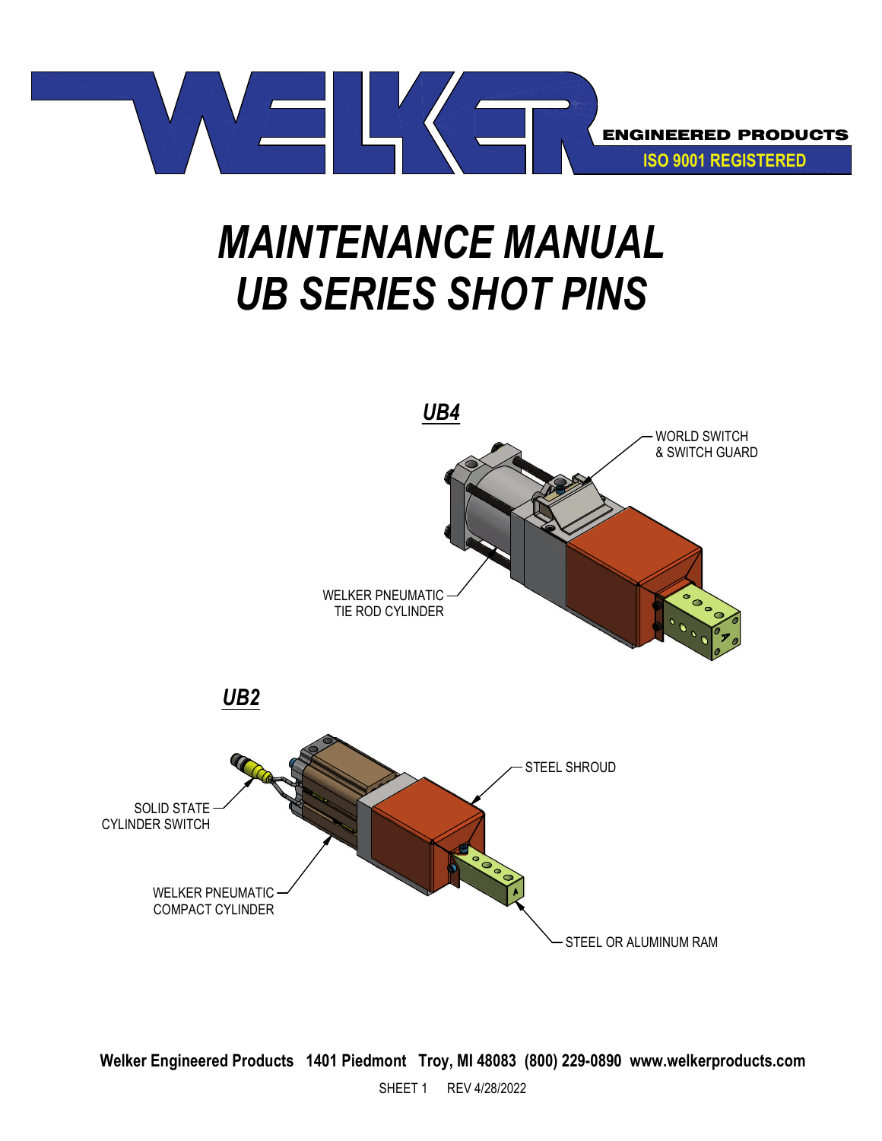

# *MAINTENANCE MANUAL UB SERIES SHOT PINS*

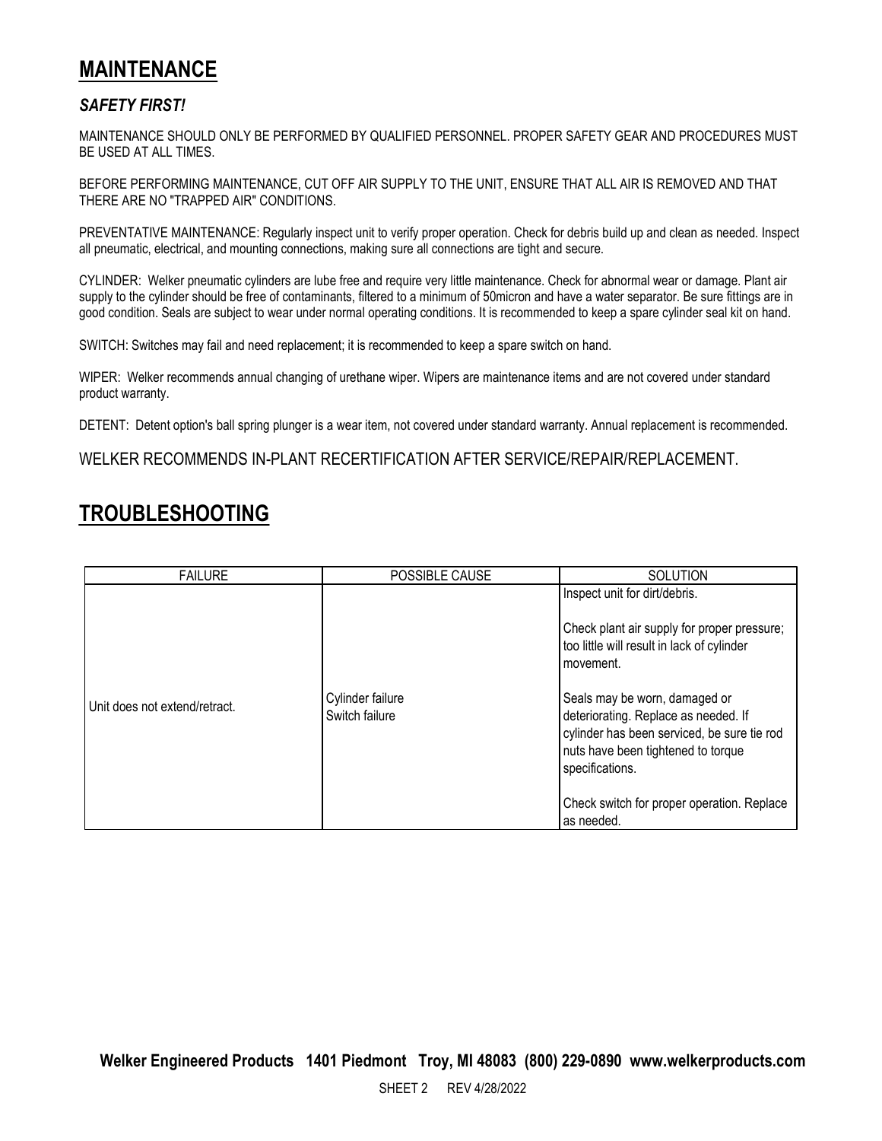#### **MAINTENANCE**

#### *SAFETY FIRST!*

MAINTENANCE SHOULD ONLY BE PERFORMED BY QUALIFIED PERSONNEL. PROPER SAFETY GEAR AND PROCEDURES MUST BE USED AT ALL TIMES.

BEFORE PERFORMING MAINTENANCE, CUT OFF AIR SUPPLY TO THE UNIT, ENSURE THAT ALL AIR IS REMOVED AND THAT THERE ARE NO "TRAPPED AIR" CONDITIONS.

PREVENTATIVE MAINTENANCE: Regularly inspect unit to verify proper operation. Check for debris build up and clean as needed. Inspect all pneumatic, electrical, and mounting connections, making sure all connections are tight and secure.

CYLINDER: Welker pneumatic cylinders are lube free and require very little maintenance. Check for abnormal wear or damage. Plant air supply to the cylinder should be free of contaminants, filtered to a minimum of 50micron and have a water separator. Be sure fittings are in good condition. Seals are subject to wear under normal operating conditions. It is recommended to keep a spare cylinder seal kit on hand.

SWITCH: Switches may fail and need replacement; it is recommended to keep a spare switch on hand.

WIPER: Welker recommends annual changing of urethane wiper. Wipers are maintenance items and are not covered under standard product warranty.

DETENT: Detent option's ball spring plunger is a wear item, not covered under standard warranty. Annual replacement is recommended.

WELKER RECOMMENDS IN-PLANT RECERTIFICATION AFTER SERVICE/REPAIR/REPLACEMENT.

#### **TROUBLESHOOTING**

| <b>FAILURE</b>                | POSSIBLE CAUSE                     | <b>SOLUTION</b>                                                                                                                                                                                                                                                                                       |
|-------------------------------|------------------------------------|-------------------------------------------------------------------------------------------------------------------------------------------------------------------------------------------------------------------------------------------------------------------------------------------------------|
| Unit does not extend/retract. | Cylinder failure<br>Switch failure | Inspect unit for dirt/debris.<br>Check plant air supply for proper pressure;<br>too little will result in lack of cylinder<br>movement.<br>Seals may be worn, damaged or<br>deteriorating. Replace as needed. If<br>cylinder has been serviced, be sure tie rod<br>nuts have been tightened to torque |
|                               |                                    | specifications.                                                                                                                                                                                                                                                                                       |
|                               |                                    | Check switch for proper operation. Replace<br>as needed.                                                                                                                                                                                                                                              |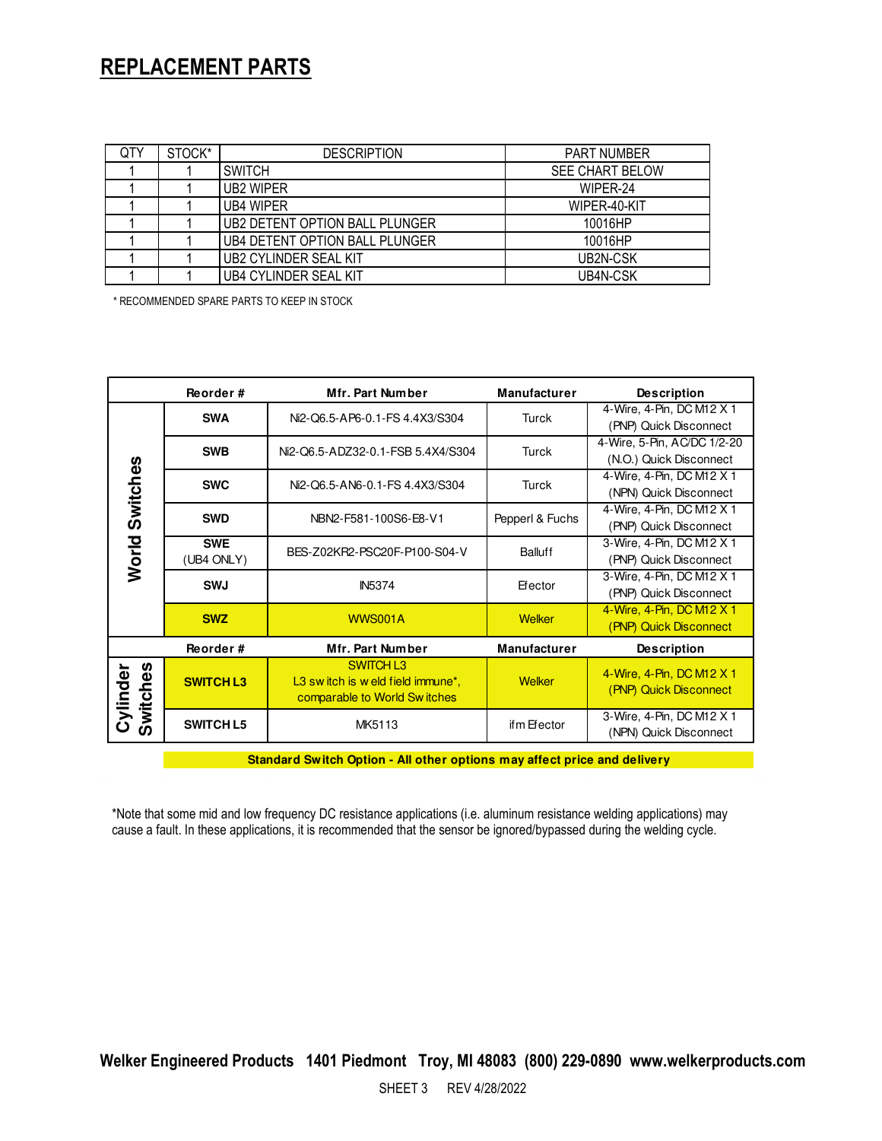#### **REPLACEMENT PARTS**

| QTY | STOCK* | <b>DESCRIPTION</b>             | <b>PART NUMBER</b>     |  |
|-----|--------|--------------------------------|------------------------|--|
|     |        | <b>SWITCH</b>                  | <b>SEE CHART BELOW</b> |  |
|     |        | UB2 WIPER                      | WIPER-24               |  |
|     |        | UB4 WIPER                      | WIPER-40-KIT           |  |
|     |        | UB2 DETENT OPTION BALL PLUNGER | 10016HP                |  |
|     |        | UB4 DETENT OPTION BALL PLUNGER | 10016HP                |  |
|     |        | UB2 CYLINDER SEAL KIT          | UB2N-CSK               |  |
|     |        | <b>UB4 CYLINDER SEAL KIT</b>   | UB4N-CSK               |  |

\* RECOMMENDED SPARE PARTS TO KEEP IN STOCK

|                      | Reorder#                 | Mfr. Part Number                                                                     | <b>Manufacturer</b> | <b>Description</b>                                     |
|----------------------|--------------------------|--------------------------------------------------------------------------------------|---------------------|--------------------------------------------------------|
| Switches             | <b>SWA</b>               | Ni2-Q6.5-AP6-0.1-FS 4.4X3/S304                                                       | Turck               | 4-Wire, 4-Pin, DC M12 X 1<br>(PNP) Quick Disconnect    |
|                      | <b>SWB</b>               | Ni2-Q6.5-ADZ32-0.1-FSB 5.4X4/S304                                                    | Turck               | 4-Wire, 5-Pin, AC/DC 1/2-20<br>(N.O.) Quick Disconnect |
|                      | <b>SWC</b>               | Ni2-Q6.5-AN6-0.1-FS 4.4X3/S304                                                       | Turck               | 4-Wire, 4-Pin, DC M12 X 1<br>(NPN) Quick Disconnect    |
|                      | <b>SWD</b>               | NBN2-F581-100S6-E8-V1                                                                | Pepperl & Fuchs     | 4-Wire, 4-Pin, DC M12 X 1<br>(PNP) Quick Disconnect    |
| World                | <b>SWE</b><br>(UB4 ONLY) | BES-Z02KR2-PSC20F-P100-S04-V                                                         | Balluff             | 3-Wire, 4-Pin, DC M12 X 1<br>(PNP) Quick Disconnect    |
|                      | <b>SWJ</b>               | <b>IN5374</b>                                                                        | Efector             | 3-Wire, 4-Pin, DC M12 X 1<br>(PNP) Quick Disconnect    |
|                      | <b>SWZ</b>               | <b>WWS001A</b>                                                                       | Welker              | 4-Wire, 4-Pin, DC M12 X 1<br>(PNP) Quick Disconnect    |
|                      | Reorder#                 | Mfr. Part Number                                                                     | <b>Manufacturer</b> | <b>Description</b>                                     |
| Switches<br>Cylinder | <b>SWITCH L3</b>         | <b>SWITCH L3</b><br>L3 switch is weld field immune*,<br>comparable to World Switches | <b>Welker</b>       | 4-Wire, 4-Pin, DC M12 X 1<br>(PNP) Quick Disconnect    |
|                      | <b>SWITCH L5</b>         | MK5113                                                                               | if m Efector        | 3-Wire, 4-Pin, DC M12 X 1<br>(NPN) Quick Disconnect    |

**Standard Switch Option - All other options may affect price and delivery**

\*Note that some mid and low frequency DC resistance applications (i.e. aluminum resistance welding applications) may cause a fault. In these applications, it is recommended that the sensor be ignored/bypassed during the welding cycle.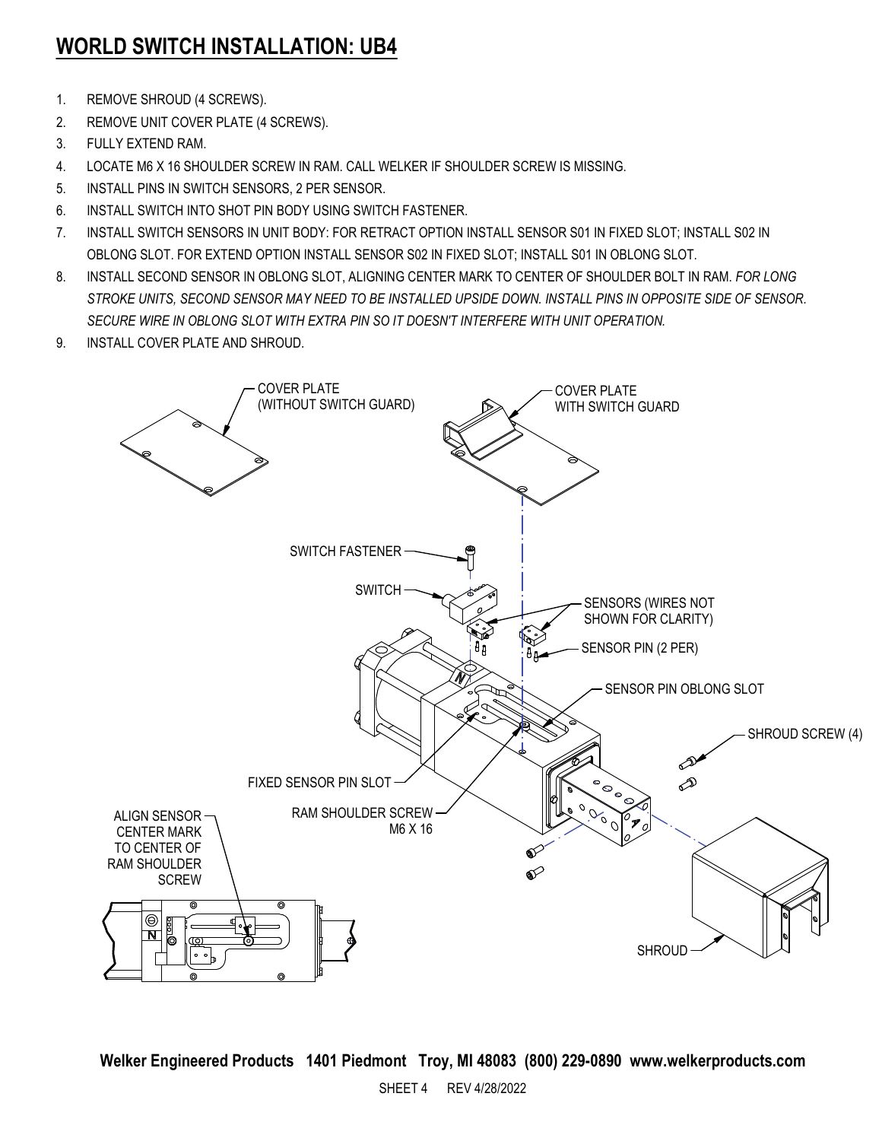# **WORLD SWITCH INSTALLATION: UB4**

- 1. REMOVE SHROUD (4 SCREWS).
- 2. REMOVE UNIT COVER PLATE (4 SCREWS).
- 3. FULLY EXTEND RAM.
- 4. LOCATE M6 X 16 SHOULDER SCREW IN RAM. CALL WELKER IF SHOULDER SCREW IS MISSING.
- 5. INSTALL PINS IN SWITCH SENSORS, 2 PER SENSOR.
- 6. INSTALL SWITCH INTO SHOT PIN BODY USING SWITCH FASTENER.
- 7. INSTALL SWITCH SENSORS IN UNIT BODY: FOR RETRACT OPTION INSTALL SENSOR S01 IN FIXED SLOT; INSTALL S02 IN OBLONG SLOT. FOR EXTEND OPTION INSTALL SENSOR S02 IN FIXED SLOT; INSTALL S01 IN OBLONG SLOT.
- 8. INSTALL SECOND SENSOR IN OBLONG SLOT, ALIGNING CENTER MARK TO CENTER OF SHOULDER BOLT IN RAM. *FOR LONG STROKE UNITS, SECOND SENSOR MAY NEED TO BE INSTALLED UPSIDE DOWN. INSTALL PINS IN OPPOSITE SIDE OF SENSOR. SECURE WIRE IN OBLONG SLOT WITH EXTRA PIN SO IT DOESN'T INTERFERE WITH UNIT OPERATION.*
- 9. INSTALL COVER PLATE AND SHROUD.

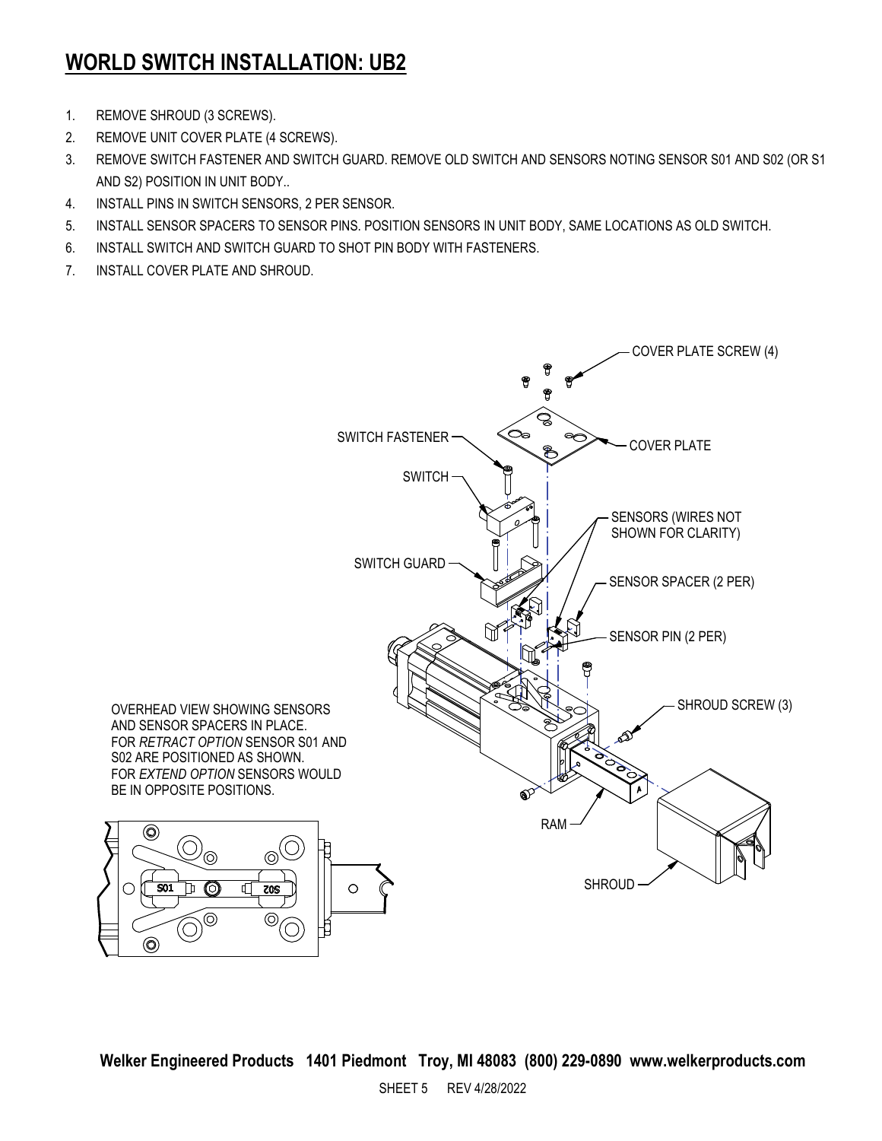### **WORLD SWITCH INSTALLATION: UB2**

- 1. REMOVE SHROUD (3 SCREWS).
- 2. REMOVE UNIT COVER PLATE (4 SCREWS).
- 3. REMOVE SWITCH FASTENER AND SWITCH GUARD. REMOVE OLD SWITCH AND SENSORS NOTING SENSOR S01 AND S02 (OR S1 AND S2) POSITION IN UNIT BODY..
- 4. INSTALL PINS IN SWITCH SENSORS, 2 PER SENSOR.
- 5. INSTALL SENSOR SPACERS TO SENSOR PINS. POSITION SENSORS IN UNIT BODY, SAME LOCATIONS AS OLD SWITCH.
- 6. INSTALL SWITCH AND SWITCH GUARD TO SHOT PIN BODY WITH FASTENERS.
- 7. INSTALL COVER PLATE AND SHROUD.

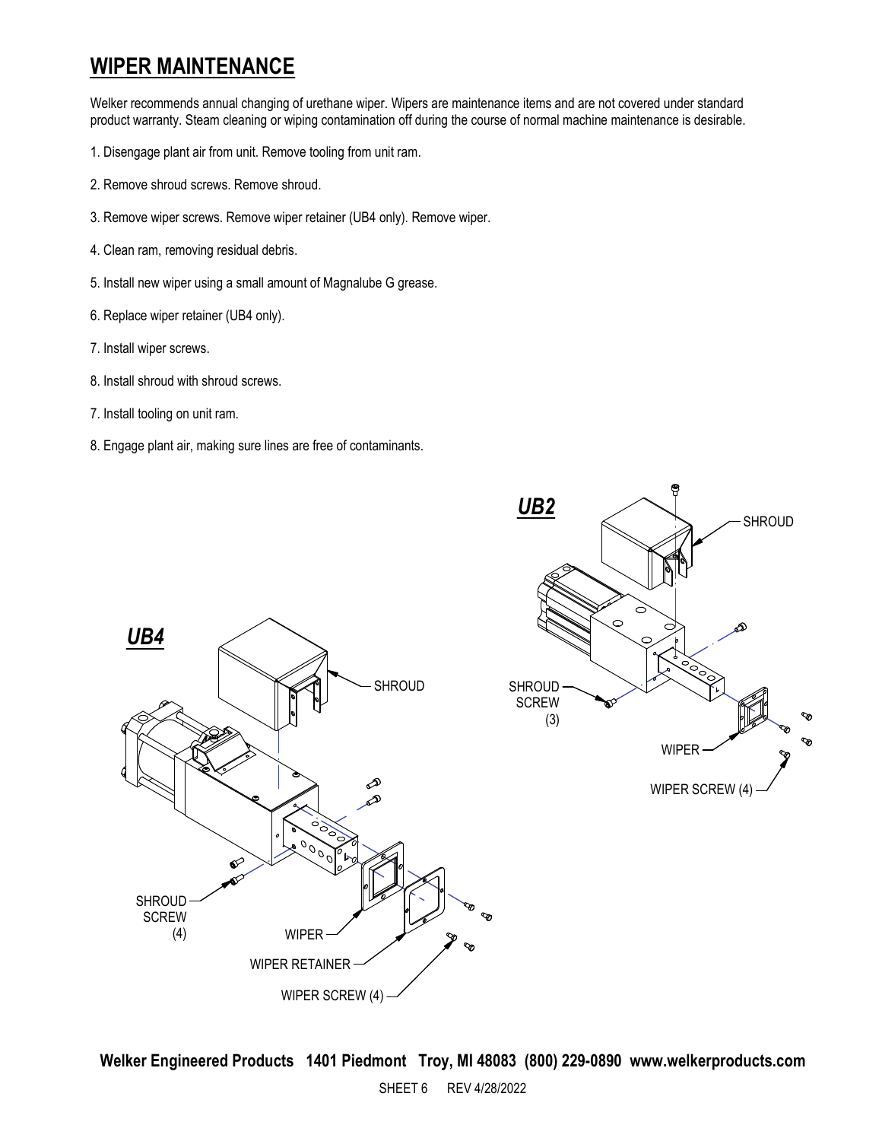#### **WIPER MAINTENANCE**

Welker recommends annual changing of urethane wiper. Wipers are maintenance items and are not covered under standard product warranty. Steam cleaning or wiping contamination off during the course of normal machine maintenance is desirable.

- 1. Disengage plant air from unit. Remove tooling from unit ram.
- 2. Remove shroud screws. Remove shroud.
- 3. Remove wiper screws. Remove wiper retainer (UB4 only). Remove wiper.
- 4. Clean ram, removing residual debris.
- 5. Install new wiper using a small amount of Magnalube G grease.
- 6. Replace wiper retainer (UB4 only).
- 7. Install wiper screws.
- 8. Install shroud with shroud screws.
- 7. Install tooling on unit ram.
- 8. Engage plant air, making sure lines are free of contaminants.

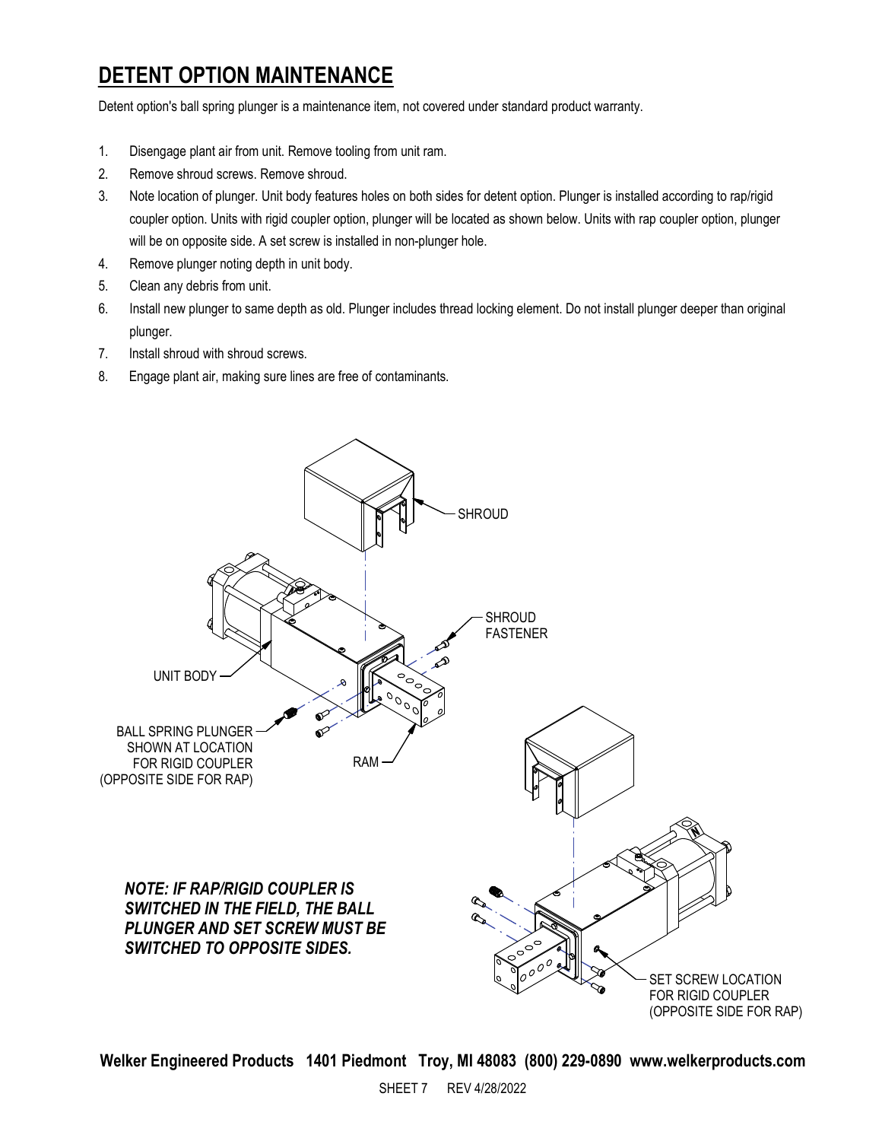# **DETENT OPTION MAINTENANCE**

Detent option's ball spring plunger is a maintenance item, not covered under standard product warranty.

- 1. Disengage plant air from unit. Remove tooling from unit ram.
- 2. Remove shroud screws. Remove shroud.
- 3. Note location of plunger. Unit body features holes on both sides for detent option. Plunger is installed according to rap/rigid coupler option. Units with rigid coupler option, plunger will be located as shown below. Units with rap coupler option, plunger will be on opposite side. A set screw is installed in non-plunger hole.
- 4. Remove plunger noting depth in unit body.
- 5. Clean any debris from unit.
- 6. Install new plunger to same depth as old. Plunger includes thread locking element. Do not install plunger deeper than original plunger.
- 7. Install shroud with shroud screws.
- 8. Engage plant air, making sure lines are free of contaminants.

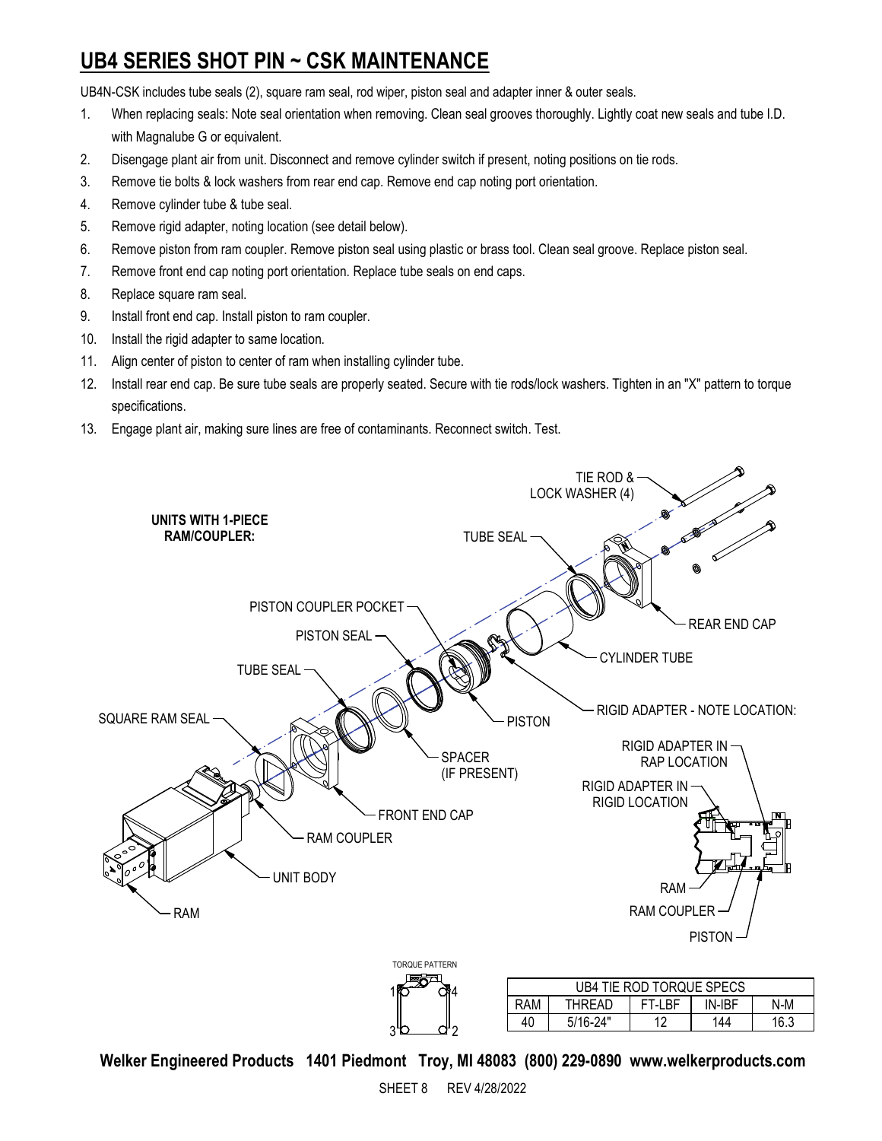# **UB4 SERIES SHOT PIN ~ CSK MAINTENANCE**

UB4N-CSK includes tube seals (2), square ram seal, rod wiper, piston seal and adapter inner & outer seals.

- 1. When replacing seals: Note seal orientation when removing. Clean seal grooves thoroughly. Lightly coat new seals and tube I.D. with Magnalube G or equivalent.
- 2. Disengage plant air from unit. Disconnect and remove cylinder switch if present, noting positions on tie rods.
- 3. Remove tie bolts & lock washers from rear end cap. Remove end cap noting port orientation.
- 4. Remove cylinder tube & tube seal.
- 5. Remove rigid adapter, noting location (see detail below).
- 6. Remove piston from ram coupler. Remove piston seal using plastic or brass tool. Clean seal groove. Replace piston seal.
- 7. Remove front end cap noting port orientation. Replace tube seals on end caps.
- 8. Replace square ram seal.
- 9. Install front end cap. Install piston to ram coupler.
- 10. Install the rigid adapter to same location.
- 11. Align center of piston to center of ram when installing cylinder tube.
- 12. Install rear end cap. Be sure tube seals are properly seated. Secure with tie rods/lock washers. Tighten in an "X" pattern to torque specifications.
- 13. Engage plant air, making sure lines are free of contaminants. Reconnect switch. Test.



**Welker Engineered Products 1401 Piedmont Troy, MI 48083 (800) 229-0890 www.welkerproducts.com**

2

3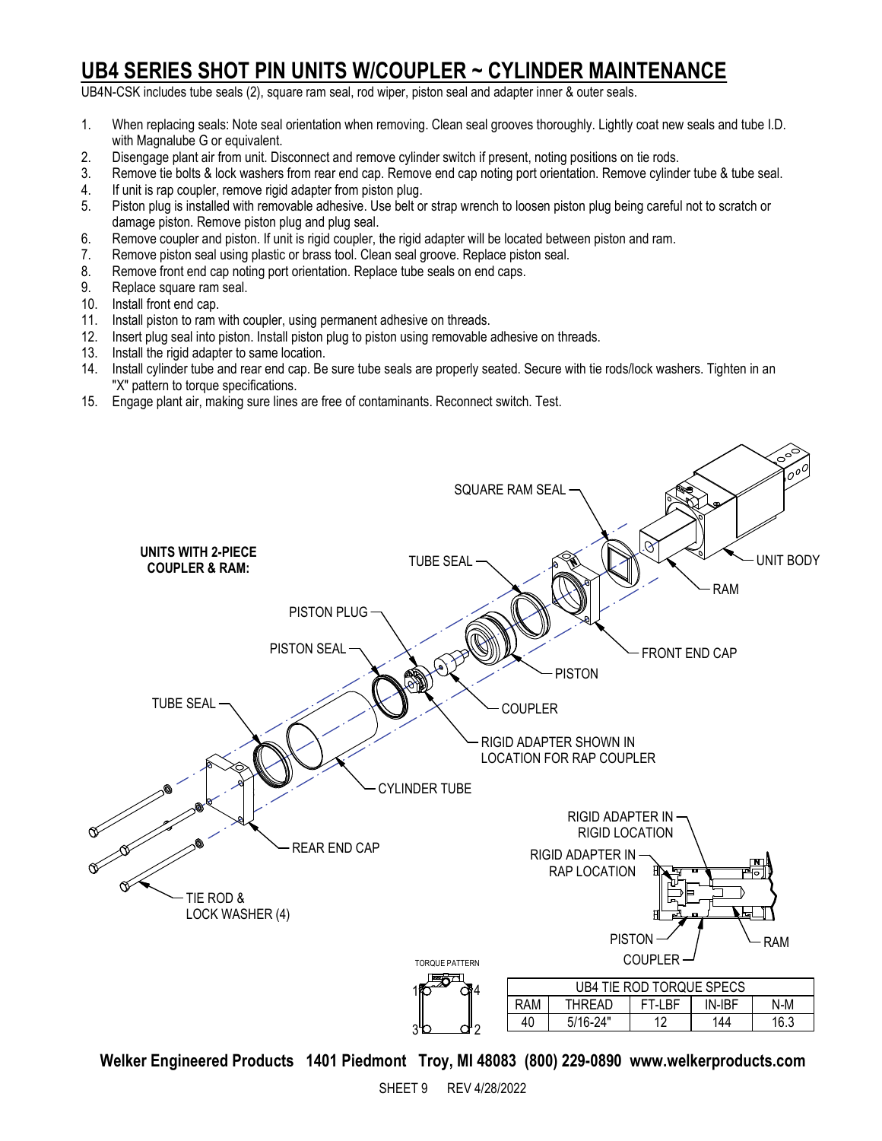#### **UB4 SERIES SHOT PIN UNITS W/COUPLER ~ CYLINDER MAINTENANCE**

UB4N-CSK includes tube seals (2), square ram seal, rod wiper, piston seal and adapter inner & outer seals.

- 1. When replacing seals: Note seal orientation when removing. Clean seal grooves thoroughly. Lightly coat new seals and tube I.D. with Magnalube G or equivalent.
- 2. Disengage plant air from unit. Disconnect and remove cylinder switch if present, noting positions on tie rods.
- Remove tie bolts & lock washers from rear end cap. Remove end cap noting port orientation. Remove cylinder tube & tube seal.
- 4. If unit is rap coupler, remove rigid adapter from piston plug.<br>5. Piston plug is installed with removable adhesive. Use belt o
- Piston plug is installed with removable adhesive. Use belt or strap wrench to loosen piston plug being careful not to scratch or damage piston. Remove piston plug and plug seal.
- 6. Remove coupler and piston. If unit is rigid coupler, the rigid adapter will be located between piston and ram.
- 7. Remove piston seal using plastic or brass tool. Clean seal groove. Replace piston seal.
- 8. Remove front end cap noting port orientation. Replace tube seals on end caps.
- 9. Replace square ram seal.
- 10. Install front end cap.
- 11. Install piston to ram with coupler, using permanent adhesive on threads.
- 12. Insert plug seal into piston. Install piston plug to piston using removable adhesive on threads.
- 13. Install the rigid adapter to same location.
- 14. Install cylinder tube and rear end cap. Be sure tube seals are properly seated. Secure with tie rods/lock washers. Tighten in an "X" pattern to torque specifications.
- 15. Engage plant air, making sure lines are free of contaminants. Reconnect switch. Test.

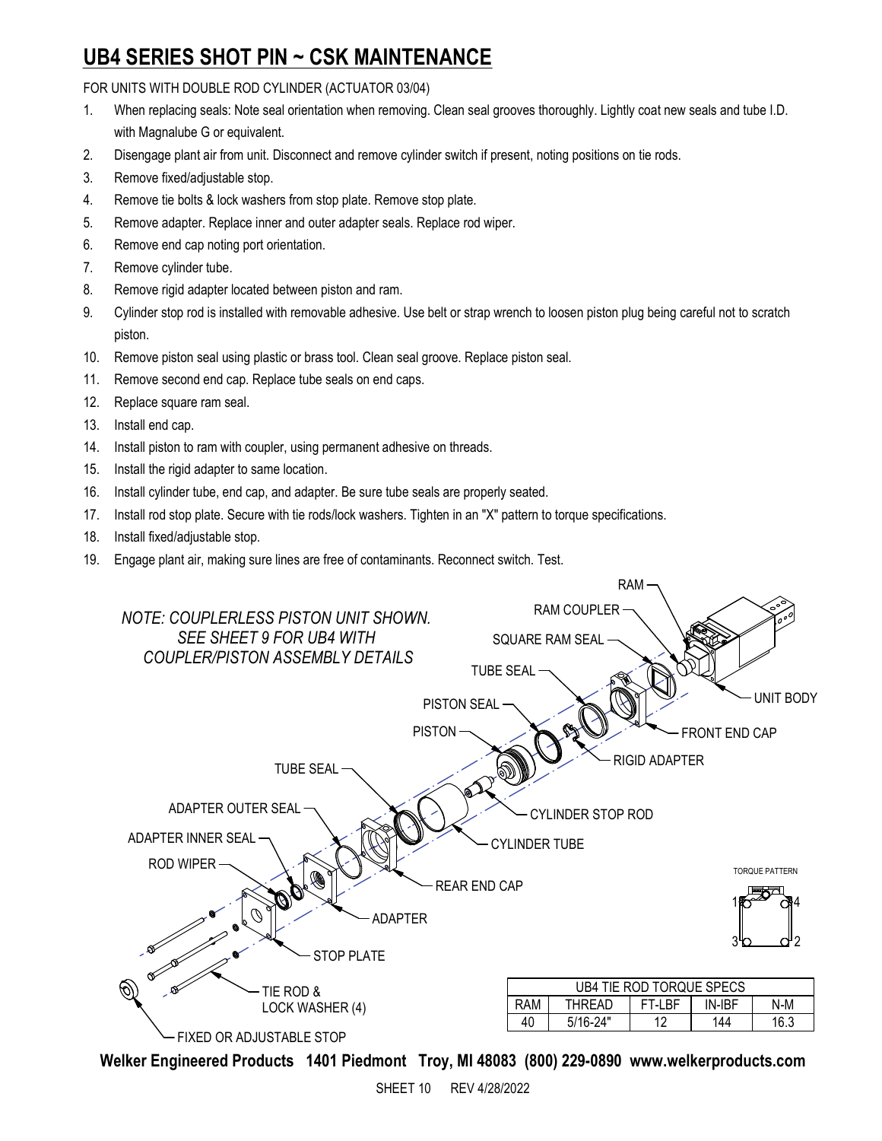#### **UB4 SERIES SHOT PIN ~ CSK MAINTENANCE**

FOR UNITS WITH DOUBLE ROD CYLINDER (ACTUATOR 03/04)

- 1. When replacing seals: Note seal orientation when removing. Clean seal grooves thoroughly. Lightly coat new seals and tube I.D. with Magnalube G or equivalent.
- 2. Disengage plant air from unit. Disconnect and remove cylinder switch if present, noting positions on tie rods.
- 3. Remove fixed/adjustable stop.
- 4. Remove tie bolts & lock washers from stop plate. Remove stop plate.
- 5. Remove adapter. Replace inner and outer adapter seals. Replace rod wiper.
- 6. Remove end cap noting port orientation.
- 7. Remove cylinder tube.
- 8. Remove rigid adapter located between piston and ram.
- 9. Cylinder stop rod is installed with removable adhesive. Use belt or strap wrench to loosen piston plug being careful not to scratch piston.
- 10. Remove piston seal using plastic or brass tool. Clean seal groove. Replace piston seal.
- 11. Remove second end cap. Replace tube seals on end caps.
- 12. Replace square ram seal.
- 13. Install end cap.
- 14. Install piston to ram with coupler, using permanent adhesive on threads.
- 15. Install the rigid adapter to same location.
- 16. Install cylinder tube, end cap, and adapter. Be sure tube seals are properly seated.
- 17. Install rod stop plate. Secure with tie rods/lock washers. Tighten in an "X" pattern to torque specifications.
- 18. Install fixed/adjustable stop.
- 19. Engage plant air, making sure lines are free of contaminants. Reconnect switch. Test.

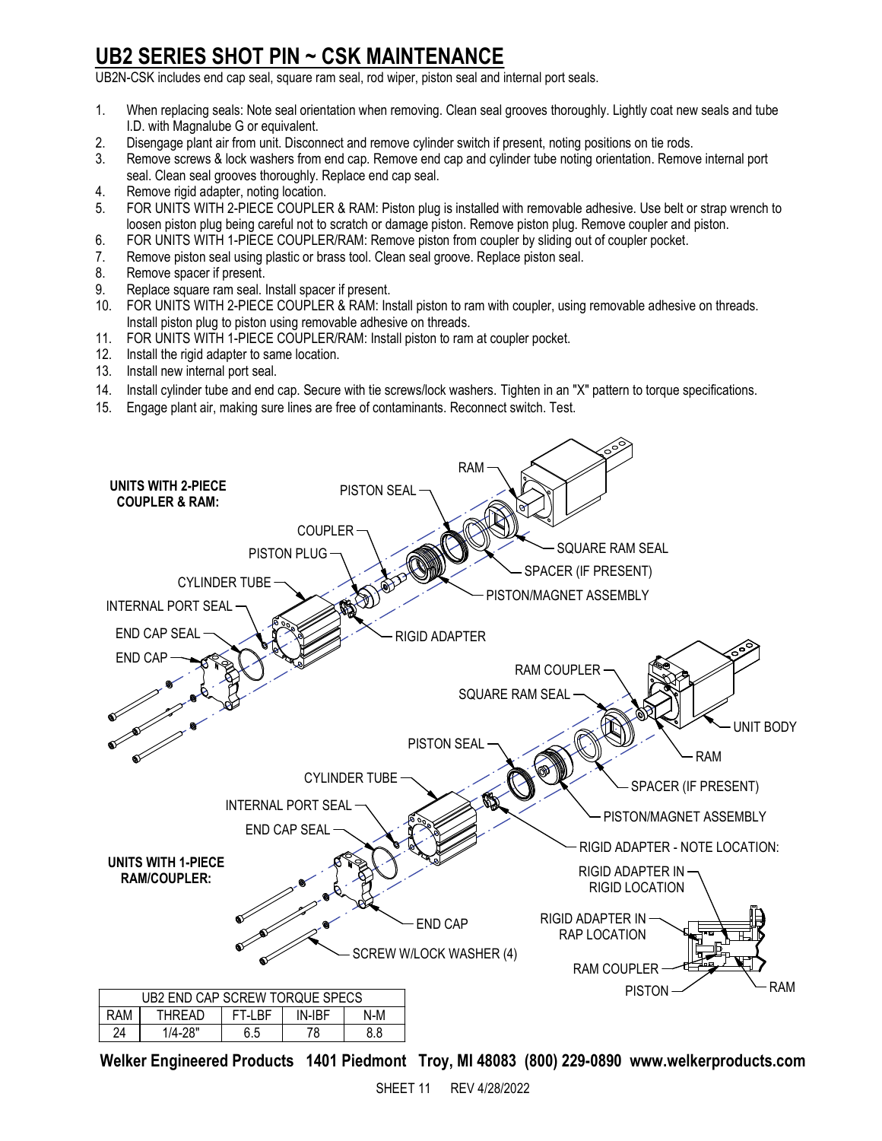### **UB2 SERIES SHOT PIN ~ CSK MAINTENANCE**

UB2N-CSK includes end cap seal, square ram seal, rod wiper, piston seal and internal port seals.

- 1. When replacing seals: Note seal orientation when removing. Clean seal grooves thoroughly. Lightly coat new seals and tube I.D. with Magnalube G or equivalent.
- 2. Disengage plant air from unit. Disconnect and remove cylinder switch if present, noting positions on tie rods.
- 3. Remove screws & lock washers from end cap. Remove end cap and cylinder tube noting orientation. Remove internal port seal. Clean seal grooves thoroughly. Replace end cap seal.
- 4. Remove rigid adapter, noting location.
- 5. FOR UNITS WITH 2-PIECE COUPLER & RAM: Piston plug is installed with removable adhesive. Use belt or strap wrench to loosen piston plug being careful not to scratch or damage piston. Remove piston plug. Remove coupler and piston.
- 6. FOR UNITS WITH 1-PIECE COUPLER/RAM: Remove piston from coupler by sliding out of coupler pocket.
- 7. Remove piston seal using plastic or brass tool. Clean seal groove. Replace piston seal.
- 8. Remove spacer if present.
- 9. Replace square ram seal. Install spacer if present.
- 10. FOR UNITS WITH 2-PIECE COUPLER & RAM: Install piston to ram with coupler, using removable adhesive on threads. Install piston plug to piston using removable adhesive on threads.
- 11. FOR UNITS WITH 1-PIECE COUPLER/RAM: Install piston to ram at coupler pocket.
- 12. Install the rigid adapter to same location.
- 13. Install new internal port seal.
- 14. Install cylinder tube and end cap. Secure with tie screws/lock washers. Tighten in an "X" pattern to torque specifications.
- 15. Engage plant air, making sure lines are free of contaminants. Reconnect switch. Test.